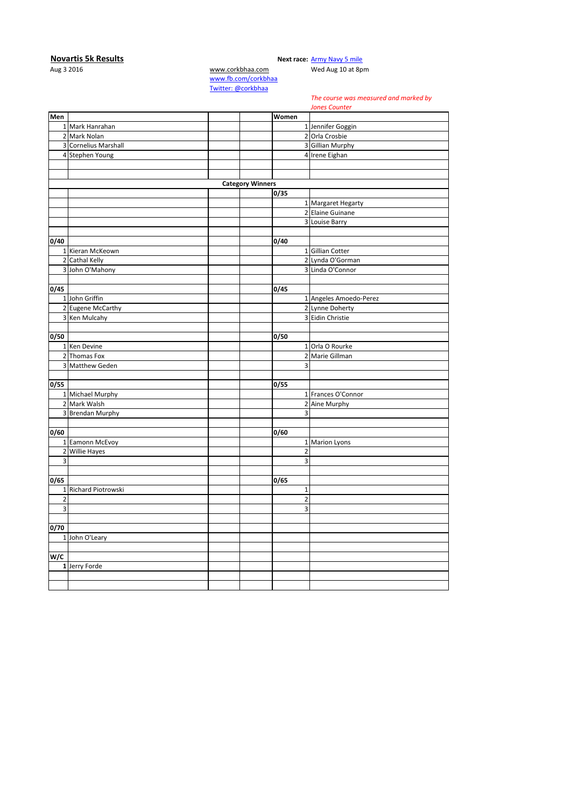## **Novartis 5k Results**<br>Aug 3 2016 **Next race:** [Army Navy 5 mile](http://corkbhaa.com/races/army-navy/)<br>Wed Aug 10 at 8p

[www.corkbhaa.com](http://www.corkbhaa.com/) Wed Aug 10 at 8pm

[www.fb.com/corkbhaa](http://www.fb.com/corkbhaa) [Twitter: @corkbhaa](https://twitter.com/corkbhaa)

## *The course was measured and marked by*

*Jones Counter*

|                |                       |                         |                | JUITES CUBILEI         |
|----------------|-----------------------|-------------------------|----------------|------------------------|
| Men            |                       |                         | Women          |                        |
|                | 1 Mark Hanrahan       |                         |                | 1 Jennifer Goggin      |
|                | 2 Mark Nolan          |                         |                | 2 Orla Crosbie         |
|                | 3 Cornelius Marshall  |                         |                | 3 Gillian Murphy       |
|                | 4 Stephen Young       |                         |                | 4 Irene Eighan         |
|                |                       |                         |                |                        |
|                |                       |                         |                |                        |
|                |                       | <b>Category Winners</b> |                |                        |
|                |                       |                         | 0/35           |                        |
|                |                       |                         |                | 1 Margaret Hegarty     |
|                |                       |                         |                | 2 Elaine Guinane       |
|                |                       |                         |                | 3 Louise Barry         |
|                |                       |                         |                |                        |
| 0/40           |                       |                         | 0/40           |                        |
|                | 1 Kieran McKeown      |                         |                | 1 Gillian Cotter       |
|                | 2 Cathal Kelly        |                         |                | 2 Lynda O'Gorman       |
|                | 3 John O'Mahony       |                         |                | 3 Linda O'Connor       |
|                |                       |                         |                |                        |
| 0/45           |                       |                         | 0/45           |                        |
|                | 1 John Griffin        |                         |                | 1 Angeles Amoedo-Perez |
|                | 2 Eugene McCarthy     |                         |                | 2 Lynne Doherty        |
|                | 3 Ken Mulcahy         |                         |                | 3 Eidin Christie       |
|                |                       |                         |                |                        |
| 0/50           |                       |                         | 0/50           |                        |
|                | 1 Ken Devine          |                         |                | 1 Orla O Rourke        |
|                | 2 Thomas Fox          |                         |                | 2 Marie Gillman        |
|                | 3 Matthew Geden       |                         | 3              |                        |
|                |                       |                         |                |                        |
| 0/55           |                       |                         | 0/55           |                        |
|                | 1 Michael Murphy      |                         |                | 1 Frances O'Connor     |
|                | 2 Mark Walsh          |                         |                | 2 Aine Murphy          |
| 3              | <b>Brendan Murphy</b> |                         | 3              |                        |
|                |                       |                         |                |                        |
| 0/60           |                       |                         | 0/60           |                        |
|                | 1 Eamonn McEvoy       |                         |                | 1 Marion Lyons         |
| $\overline{2}$ | <b>Willie Hayes</b>   |                         | $\overline{2}$ |                        |
| 3              |                       |                         | 3              |                        |
|                |                       |                         |                |                        |
| 0/65           |                       |                         | 0/65           |                        |
|                | 1 Richard Piotrowski  |                         | $1\,$          |                        |
| $\overline{2}$ |                       |                         | $\overline{2}$ |                        |
| 3              |                       |                         | 3              |                        |
|                |                       |                         |                |                        |
| 0/70           |                       |                         |                |                        |
|                | 1 John O'Leary        |                         |                |                        |
|                |                       |                         |                |                        |
| W/C            |                       |                         |                |                        |
|                | 1 Jerry Forde         |                         |                |                        |
|                |                       |                         |                |                        |
|                |                       |                         |                |                        |
|                |                       |                         |                |                        |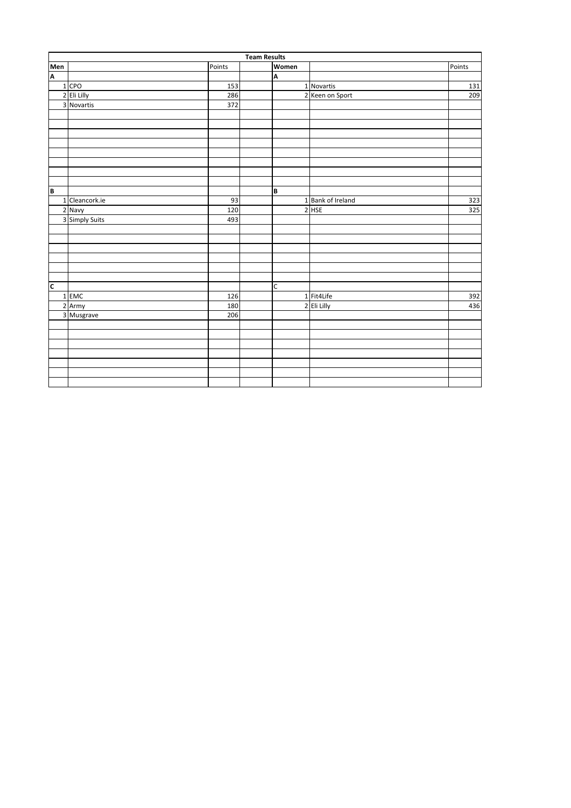|                         | <b>Team Results</b> |        |  |       |                   |        |  |  |  |
|-------------------------|---------------------|--------|--|-------|-------------------|--------|--|--|--|
| Men                     |                     | Points |  | Women |                   | Points |  |  |  |
| A                       |                     |        |  | A     |                   |        |  |  |  |
|                         | 1 CPO               | 153    |  |       | 1 Novartis        | 131    |  |  |  |
|                         | 2 Eli Lilly         | 286    |  |       | 2 Keen on Sport   | 209    |  |  |  |
|                         | 3 Novartis          | 372    |  |       |                   |        |  |  |  |
|                         |                     |        |  |       |                   |        |  |  |  |
|                         |                     |        |  |       |                   |        |  |  |  |
|                         |                     |        |  |       |                   |        |  |  |  |
|                         |                     |        |  |       |                   |        |  |  |  |
|                         |                     |        |  |       |                   |        |  |  |  |
|                         |                     |        |  |       |                   |        |  |  |  |
|                         |                     |        |  |       |                   |        |  |  |  |
|                         |                     |        |  |       |                   |        |  |  |  |
| B                       |                     |        |  | B     |                   |        |  |  |  |
|                         | 1 Cleancork.ie      | 93     |  |       | 1 Bank of Ireland | 323    |  |  |  |
|                         | 2 Navy              | 120    |  |       | 2 HSE             | 325    |  |  |  |
|                         | 3 Simply Suits      | 493    |  |       |                   |        |  |  |  |
|                         |                     |        |  |       |                   |        |  |  |  |
|                         |                     |        |  |       |                   |        |  |  |  |
|                         |                     |        |  |       |                   |        |  |  |  |
|                         |                     |        |  |       |                   |        |  |  |  |
|                         |                     |        |  |       |                   |        |  |  |  |
|                         |                     |        |  |       |                   |        |  |  |  |
| $\overline{\mathsf{c}}$ |                     |        |  | C     |                   |        |  |  |  |
|                         | 1 EMC               | 126    |  |       | 1 Fit4Life        | 392    |  |  |  |
|                         | 2 Army              | 180    |  |       | 2 Eli Lilly       | 436    |  |  |  |
|                         | 3 Musgrave          | 206    |  |       |                   |        |  |  |  |
|                         |                     |        |  |       |                   |        |  |  |  |
|                         |                     |        |  |       |                   |        |  |  |  |
|                         |                     |        |  |       |                   |        |  |  |  |
|                         |                     |        |  |       |                   |        |  |  |  |
|                         |                     |        |  |       |                   |        |  |  |  |
|                         |                     |        |  |       |                   |        |  |  |  |
|                         |                     |        |  |       |                   |        |  |  |  |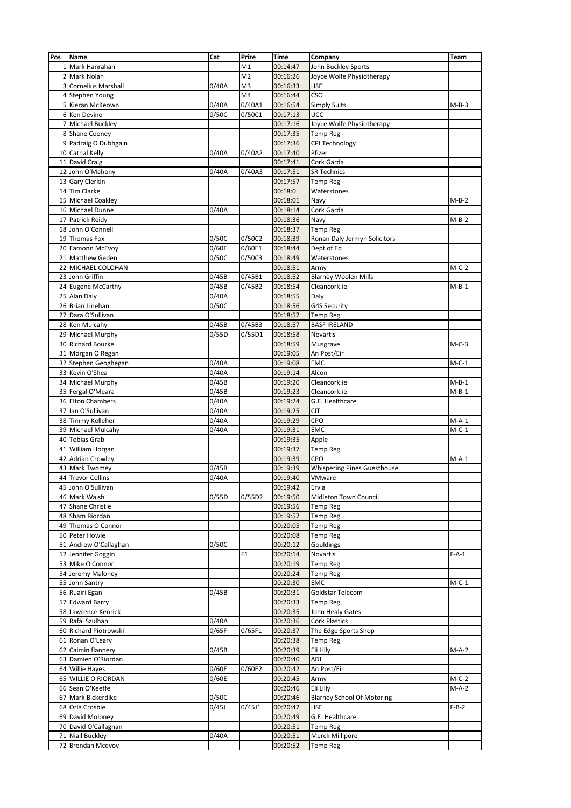| Pos | <b>Name</b>           | Cat   | Prize          | <b>Time</b> | Company                            | Team    |
|-----|-----------------------|-------|----------------|-------------|------------------------------------|---------|
|     | 1 Mark Hanrahan       |       | M1             | 00:14:47    | John Buckley Sports                |         |
|     | 2 Mark Nolan          |       | M <sub>2</sub> | 00:16:26    | Joyce Wolfe Physiotherapy          |         |
|     | 3 Cornelius Marshall  | 0/40A | M <sub>3</sub> | 00:16:33    | <b>HSE</b>                         |         |
|     | 4 Stephen Young       |       | M4             | 00:16:44    | CSO                                |         |
|     | 5 Kieran McKeown      | 0/40A | 0/40A1         | 00:16:54    | <b>Simply Suits</b>                | $M-B-3$ |
|     | 6 Ken Devine          | 0/50C | 0/50C1         | 00:17:13    | UCC                                |         |
|     | 7 Michael Buckley     |       |                | 00:17:16    | Joyce Wolfe Physiotherapy          |         |
|     | 8 Shane Cooney        |       |                | 00:17:35    | <b>Temp Reg</b>                    |         |
|     | 9 Padraig O Dubhgain  |       |                | 00:17:36    | <b>CPI Technology</b>              |         |
|     | 10 Cathal Kelly       | 0/40A | 0/40A2         | 00:17:40    | Pfizer                             |         |
|     | 11 David Craig        |       |                | 00:17:41    | Cork Garda                         |         |
|     | 12 John O'Mahony      | 0/40A | 0/40A3         | 00:17:51    | <b>SR Technics</b>                 |         |
|     | 13 Gary Clerkin       |       |                | 00:17:57    | <b>Temp Reg</b>                    |         |
|     | 14 Tim Clarke         |       |                | 00:18:0     | Waterstones                        |         |
|     | 15 Michael Coakley    |       |                | 00:18:01    | Navy                               | $M-B-2$ |
|     |                       | 0/40A |                |             |                                    |         |
|     | 16 Michael Dunne      |       |                | 00:18:14    | Cork Garda                         |         |
|     | 17 Patrick Reidy      |       |                | 00:18:36    | Navy                               | $M-B-2$ |
|     | 18 John O'Connell     |       |                | 00:18:37    | <b>Temp Reg</b>                    |         |
|     | 19 Thomas Fox         | 0/50C | 0/50C2         | 00:18:39    | Ronan Daly Jermyn Solicitors       |         |
|     | 20 Eamonn McEvoy      | 0/60E | 0/60E1         | 00:18:44    | Dept of Ed                         |         |
|     | 21 Matthew Geden      | 0/50C | 0/50C3         | 00:18:49    | Waterstones                        |         |
|     | 22 MICHAEL COLOHAN    |       |                | 00:18:51    | Army                               | $M-C-2$ |
|     | 23 John Griffin       | 0/45B | 0/45B1         | 00:18:52    | <b>Blarney Woolen Mills</b>        |         |
|     | 24 Eugene McCarthy    | 0/45B | 0/45B2         | 00:18:54    | Cleancork.ie                       | $M-B-1$ |
|     | 25 Alan Daly          | 0/40A |                | 00:18:55    | Daly                               |         |
|     | 26 Brian Linehan      | 0/50C |                | 00:18:56    | G4S Security                       |         |
|     | 27 Dara O'Sullivan    |       |                | 00:18:57    | <b>Temp Reg</b>                    |         |
|     | 28 Ken Mulcahy        | 0/45B | 0/45B3         | 00:18:57    | <b>BASF IRELAND</b>                |         |
|     | 29 Michael Murphy     | 0/55D | 0/55D1         | 00:18:58    | Novartis                           |         |
|     | 30 Richard Bourke     |       |                | 00:18:59    | Musgrave                           | $M-C-3$ |
|     | 31 Morgan O'Regan     |       |                | 00:19:05    | An Post/Eir                        |         |
|     | 32 Stephen Geoghegan  | 0/40A |                | 00:19:08    | EMC                                | $M-C-1$ |
|     | 33 Kevin O'Shea       | 0/40A |                | 00:19:14    | Alcon                              |         |
|     | 34 Michael Murphy     | 0/45B |                | 00:19:20    | Cleancork.ie                       | $M-B-1$ |
|     | 35 Fergal O'Meara     | 0/45B |                | 00:19:23    | Cleancork.ie                       | $M-B-1$ |
|     | 36 Elton Chambers     | 0/40A |                | 00:19:24    | G.E. Healthcare                    |         |
|     | 37 Ian O'Sullivan     | 0/40A |                | 00:19:25    | CIT                                |         |
|     | 38 Timmy Kelleher     | 0/40A |                | 00:19:29    | CPO                                | $M-A-1$ |
|     | 39 Michael Mulcahy    | 0/40A |                | 00:19:31    | <b>EMC</b>                         | $M-C-1$ |
|     | 40 Tobias Grab        |       |                | 00:19:35    | Apple                              |         |
|     | 41 William Horgan     |       |                | 00:19:37    | <b>Temp Reg</b>                    |         |
|     | 42 Adrian Crowley     |       |                | 00:19:39    | CPO                                | $M-A-1$ |
|     | 43 Mark Twomey        | 0/45B |                | 00:19:39    | <b>Whispering Pines Guesthouse</b> |         |
|     | 44 Trevor Collins     | 0/40A |                | 00:19:40    | VMware                             |         |
|     |                       |       |                |             |                                    |         |
|     | 45 John O'Sullivan    |       |                | 00:19:42    | Ervia                              |         |
|     | 46 Mark Walsh         | 0/55D | 0/55D2         | 00:19:50    | Midleton Town Council              |         |
|     | 47 Shane Christie     |       |                | 00:19:56    | Temp Reg                           |         |
|     | 48 Sham Riordan       |       |                | 00:19:57    | <b>Temp Reg</b>                    |         |
|     | 49 Thomas O'Connor    |       |                | 00:20:05    | <b>Temp Reg</b>                    |         |
|     | 50 Peter Howie        |       |                | 00:20:08    | <b>Temp Reg</b>                    |         |
|     | 51 Andrew O'Callaghan | 0/50C |                | 00:20:12    | Gouldings                          |         |
|     | 52 Jennifer Goggin    |       | F1             | 00:20:14    | Novartis                           | $F-A-1$ |
|     | 53 Mike O'Connor      |       |                | 00:20:19    | Temp Reg                           |         |
|     | 54 Jeremy Maloney     |       |                | 00:20:24    | <b>Temp Reg</b>                    |         |
|     | 55 John Santry        |       |                | 00:20:30    | <b>EMC</b>                         | $M-C-1$ |
|     | 56 Ruairi Egan        | 0/45B |                | 00:20:31    | Goldstar Telecom                   |         |
|     | 57 Edward Barry       |       |                | 00:20:33    | <b>Temp Reg</b>                    |         |
|     | 58 Lawrence Kenrick   |       |                | 00:20:35    | John Healy Gates                   |         |
|     | 59 Rafal Szulhan      | 0/40A |                | 00:20:36    | Cork Plastics                      |         |
|     | 60 Richard Piotrowski | 0/65F | 0/65F1         | 00:20:37    | The Edge Sports Shop               |         |
|     | 61 Ronan O'Leary      |       |                | 00:20:38    | <b>Temp Reg</b>                    |         |
|     | 62 Caimin flannery    | 0/45B |                | 00:20:39    | Eli Lilly                          | $M-A-2$ |
|     | 63 Damien O'Riordan   |       |                | 00:20:40    | ADI                                |         |
|     | 64 Willie Hayes       | 0/60E | 0/60E2         | 00:20:42    | An Post/Eir                        |         |
|     | 65 WILLIE O RIORDAN   | 0/60E |                | 00:20:45    | Army                               | $M-C-2$ |
|     | 66 Sean O'Keeffe      |       |                | 00:20:46    | Eli Lilly                          | $M-A-2$ |
|     | 67 Mark Bickerdike    | 0/50C |                | 00:20:46    | <b>Blarney School Of Motoring</b>  |         |
|     | 68 Orla Crosbie       | 0/45J | 0/45J1         | 00:20:47    | <b>HSE</b>                         | $F-B-2$ |
|     | 69 David Moloney      |       |                | 00:20:49    | G.E. Healthcare                    |         |
|     | 70 David O'Callaghan  |       |                | 00:20:51    | Temp Reg                           |         |
|     | 71 Niall Buckley      | 0/40A |                | 00:20:51    | Merck Millipore                    |         |
|     | 72 Brendan Mcevoy     |       |                | 00:20:52    | <b>Temp Reg</b>                    |         |
|     |                       |       |                |             |                                    |         |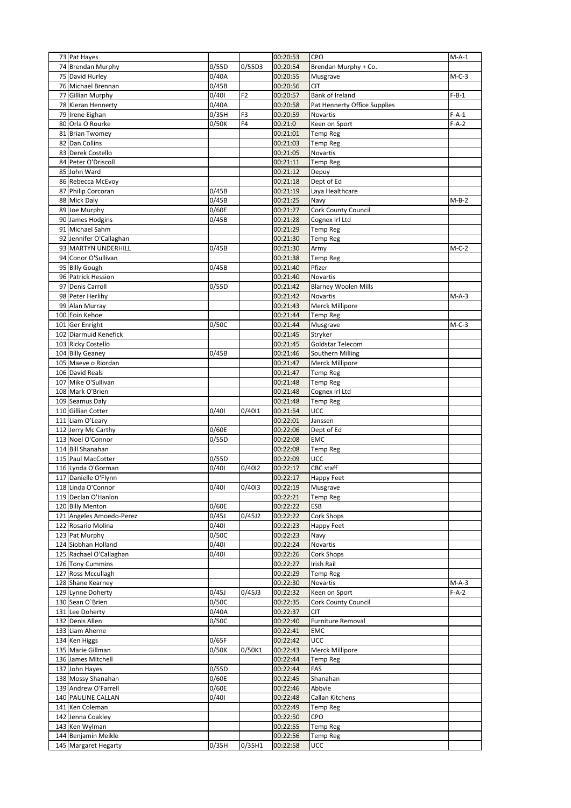| 73 Pat Hayes             |                    |                | 00:20:53 | CPO                          | $M-A-1$ |
|--------------------------|--------------------|----------------|----------|------------------------------|---------|
|                          | 0/55D              |                | 00:20:54 | Brendan Murphy + Co.         |         |
| 74 Brendan Murphy        |                    | 0/55D3         |          |                              |         |
| 75 David Hurley          | $\overline{0}/40A$ |                | 00:20:55 | Musgrave                     | $M-C-3$ |
| 76 Michael Brennan       | 0/45B              |                | 00:20:56 | <b>CIT</b>                   |         |
| 77 Gillian Murphy        | 0/401              | F <sub>2</sub> | 00:20:57 | Bank of Ireland              | $F-B-1$ |
|                          |                    |                |          |                              |         |
| 78 Kieran Hennerty       | 0/40A              |                | 00:20:58 | Pat Hennerty Office Supplies |         |
| 79 Irene Eighan          | 0/35H              | F3             | 00:20:59 | Novartis                     | $F-A-1$ |
| 80 Orla O Rourke         | 0/50K              | F4             | 00:21:0  | Keen on Sport                | $F-A-2$ |
| 81 Brian Twomey          |                    |                | 00:21:01 | <b>Temp Reg</b>              |         |
| 82 Dan Collins           |                    |                | 00:21:03 |                              |         |
|                          |                    |                |          | <b>Temp Reg</b>              |         |
| 83 Derek Costello        |                    |                | 00:21:05 | <b>Novartis</b>              |         |
| 84 Peter O'Driscoll      |                    |                | 00:21:11 | <b>Temp Reg</b>              |         |
| 85 John Ward             |                    |                | 00:21:12 | Depuy                        |         |
| 86 Rebecca McEvoy        |                    |                | 00:21:18 | Dept of Ed                   |         |
|                          |                    |                |          |                              |         |
| 87 Philip Corcoran       | 0/45B              |                | 00:21:19 | Laya Healthcare              |         |
| 88 Mick Daly             | 0/45B              |                | 00:21:25 | Navy                         | M-B-2   |
| 89 Joe Murphy            | 0/60E              |                | 00:21:27 | Cork County Council          |         |
| 90 James Hodgins         | 0/45B              |                | 00:21:28 | Cognex Irl Ltd               |         |
|                          |                    |                |          |                              |         |
| 91 Michael Sahm          |                    |                | 00:21:29 | <b>Temp Reg</b>              |         |
| 92 Jennifer O'Callaghan  |                    |                | 00:21:30 | Temp Reg                     |         |
| 93 MARTYN UNDERHILL      | 0/45B              |                | 00:21:30 | Army                         | $M-C-2$ |
|                          |                    |                |          |                              |         |
| 94 Conor O'Sullivan      |                    |                | 00:21:38 | Temp Reg                     |         |
| 95 Billy Gough           | 0/45B              |                | 00:21:40 | Pfizer                       |         |
| 96 Patrick Hession       |                    |                | 00:21:40 | Novartis                     |         |
| 97 Denis Carroll         | 0/55D              |                | 00:21:42 | <b>Blarney Woolen Mills</b>  |         |
|                          |                    |                |          |                              |         |
| 98 Peter Herlihy         |                    |                | 00:21:42 | Novartis                     | $M-A-3$ |
| 99 Alan Murray           |                    |                | 00:21:43 | Merck Millipore              |         |
| 100 Eoin Kehoe           |                    |                | 00:21:44 | <b>Temp Reg</b>              |         |
| 101 Ger Enright          | 0/50C              |                | 00:21:44 | Musgrave                     | $M-C-3$ |
|                          |                    |                |          |                              |         |
| 102 Diarmuid Kenefick    |                    |                | 00:21:45 | Stryker                      |         |
| 103 Ricky Costello       |                    |                | 00:21:45 | Goldstar Telecom             |         |
| 104 Billy Geaney         | 0/45B              |                | 00:21:46 | Southern Milling             |         |
| 105 Maeve o Riordan      |                    |                | 00:21:47 | Merck Millipore              |         |
|                          |                    |                |          |                              |         |
| 106 David Reals          |                    |                | 00:21:47 | <b>Temp Reg</b>              |         |
| 107 Mike O'Sullivan      |                    |                | 00:21:48 | <b>Temp Reg</b>              |         |
| 108 Mark O'Brien         |                    |                | 00:21:48 | Cognex Irl Ltd               |         |
|                          |                    |                |          |                              |         |
| 109 Seamus Daly          |                    |                | 00:21:48 | <b>Temp Reg</b>              |         |
| 110 Gillian Cotter       | 0/401              | 0/4011         | 00:21:54 | <b>UCC</b>                   |         |
| 111 Liam O'Leary         |                    |                | 00:22:01 | Janssen                      |         |
| 112 Jerry Mc Carthy      | 0/60E              |                | 00:22:06 | Dept of Ed                   |         |
|                          |                    |                |          |                              |         |
| 113 Noel O'Connor        | 0/55D              |                | 00:22:08 | <b>EMC</b>                   |         |
| 114 Bill Shanahan        |                    |                | 00:22:08 | <b>Temp Reg</b>              |         |
| 115 Paul MacCotter       | 0/55D              |                | 00:22:09 | UCC                          |         |
| 116 Lynda O'Gorman       | 0/401              | 0/4012         | 00:22:17 | CBC staff                    |         |
| 117 Danielle O'Flynn     |                    |                |          |                              |         |
|                          |                    |                | 00:22:17 | Happy Feet                   |         |
| 118 Linda O'Connor       | 0/401              | 0/4013         | 00:22:19 | Musgrave                     |         |
| 119 Declan O'Hanlon      |                    |                | 00:22:21 | Temp Reg                     |         |
| 120 Billy Menton         | 0/60E              |                | 00:22:22 | ESB                          |         |
|                          | 0/45J              |                |          |                              |         |
| 121 Angeles Amoedo-Perez |                    | 0/45J2         | 00:22:22 | Cork Shops                   |         |
| 122 Rosario Molina       | 0/401              |                | 00:22:23 | Happy Feet                   |         |
| 123 Pat Murphy           | 0/50C              |                | 00:22:23 | Navy                         |         |
| 124 Siobhan Holland      | 0/401              |                | 00:22:24 | Novartis                     |         |
| 125 Rachael O'Callaghan  | 0/401              |                | 00:22:26 | Cork Shops                   |         |
|                          |                    |                |          |                              |         |
| 126 Tony Cummins         |                    |                | 00:22:27 | Irish Rail                   |         |
| 127 Ross Mccullagh       |                    |                | 00:22:29 | <b>Temp Reg</b>              |         |
| 128 Shane Kearney        |                    |                | 00:22:30 | Novartis                     | $M-A-3$ |
| 129 Lynne Doherty        | 0/45J              | 0/45J3         | 00:22:32 | Keen on Sport                | $F-A-2$ |
|                          |                    |                |          |                              |         |
| 130 Sean O'Brien         | 0/50C              |                | 00:22:35 | Cork County Council          |         |
| 131 Lee Doherty          | 0/40A              |                | 00:22:37 | <b>CIT</b>                   |         |
| 132 Denis Allen          | 0/50C              |                | 00:22:40 | Furniture Removal            |         |
| 133 Liam Aherne          |                    |                | 00:22:41 | <b>EMC</b>                   |         |
|                          |                    |                |          |                              |         |
| 134 Ken Higgs            | 0/65F              |                | 00:22:42 | UCC                          |         |
| 135 Marie Gillman        | 0/50K              | 0/50K1         | 00:22:43 | Merck Millipore              |         |
| 136 James Mitchell       |                    |                | 00:22:44 | <b>Temp Reg</b>              |         |
| 137 John Hayes           | 0/55D              |                | 00:22:44 | FAS                          |         |
|                          |                    |                |          |                              |         |
| 138 Mossy Shanahan       | 0/60E              |                | 00:22:45 | Shanahan                     |         |
| 139 Andrew O'Farrell     | 0/60E              |                | 00:22:46 | Abbvie                       |         |
| 140 PAULINE CALLAN       | 0/401              |                | 00:22:48 | Callan Kitchens              |         |
| 141 Ken Coleman          |                    |                | 00:22:49 | <b>Temp Reg</b>              |         |
|                          |                    |                |          |                              |         |
| 142 Jenna Coakley        |                    |                | 00:22:50 | CPO                          |         |
| 143 Ken Wylman           |                    |                | 00:22:55 | <b>Temp Reg</b>              |         |
| 144 Benjamin Meikle      |                    |                | 00:22:56 | <b>Temp Reg</b>              |         |
| 145 Margaret Hegarty     | 0/35H              | 0/35H1         | 00:22:58 | <b>UCC</b>                   |         |
|                          |                    |                |          |                              |         |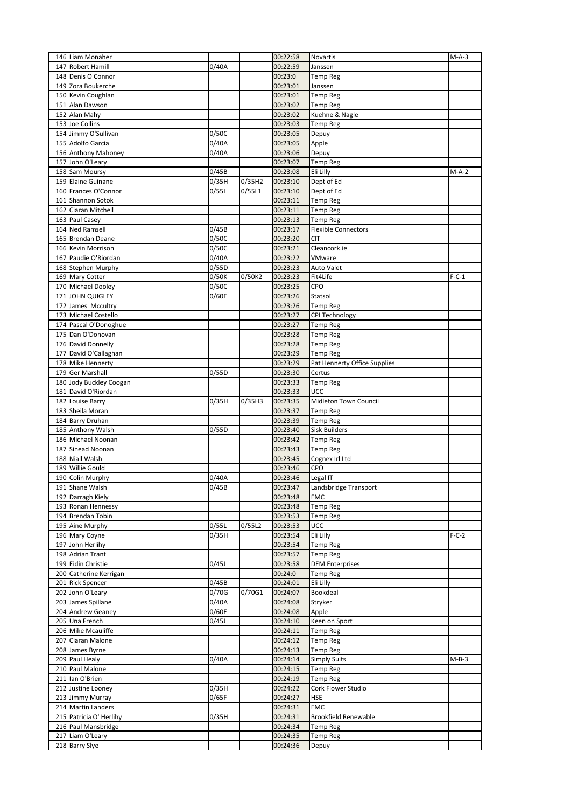| 146 Liam Monaher                          |       |        | 00:22:58             | Novartis                                  | $M-A-3$ |
|-------------------------------------------|-------|--------|----------------------|-------------------------------------------|---------|
| 147 Robert Hamill                         | 0/40A |        | 00:22:59             | Janssen                                   |         |
| 148 Denis O'Connor                        |       |        | 00:23:0              | Temp Reg                                  |         |
| 149 Zora Boukerche                        |       |        | 00:23:01             | Janssen                                   |         |
| 150 Kevin Coughlan                        |       |        | 00:23:01             | <b>Temp Reg</b>                           |         |
| 151 Alan Dawson                           |       |        | 00:23:02             | Temp Reg                                  |         |
| 152 Alan Mahy                             |       |        | 00:23:02             | Kuehne & Nagle                            |         |
| 153 Joe Collins                           |       |        | 00:23:03             | Temp Reg                                  |         |
| 154 Jimmy O'Sullivan                      | 0/50C |        | 00:23:05             | Depuy                                     |         |
| 155 Adolfo Garcia                         | 0/40A |        | 00:23:05             | Apple                                     |         |
| 156 Anthony Mahoney                       | 0/40A |        | 00:23:06             | Depuy                                     |         |
| 157 John O'Leary                          |       |        | 00:23:07             | <b>Temp Reg</b>                           |         |
| 158 Sam Moursy<br>159 Elaine Guinane      | 0/45B |        | 00:23:08             | Eli Lilly                                 | $M-A-2$ |
|                                           | 0/35H | 0/35H2 | 00:23:10             | Dept of Ed                                |         |
| 160 Frances O'Connor<br>161 Shannon Sotok | 0/55L | 0/55L1 | 00:23:10<br>00:23:11 | Dept of Ed                                |         |
| 162 Ciaran Mitchell                       |       |        | 00:23:11             | Temp Reg                                  |         |
| 163 Paul Casey                            |       |        | 00:23:13             | Temp Reg                                  |         |
| 164 Ned Ramsell                           | 0/45B |        | 00:23:17             | Temp Reg<br><b>Flexible Connectors</b>    |         |
| 165 Brendan Deane                         | 0/50C |        | 00:23:20             | <b>CIT</b>                                |         |
| 166 Kevin Morrison                        | 0/50C |        | 00:23:21             | Cleancork.ie                              |         |
| 167 Paudie O'Riordan                      | 0/40A |        | 00:23:22             | VMware                                    |         |
| 168 Stephen Murphy                        | 0/55D |        | 00:23:23             | Auto Valet                                |         |
| 169 Mary Cotter                           | 0/50K | 0/50K2 | 00:23:23             | Fit4Life                                  | $F-C-1$ |
| 170 Michael Dooley                        | 0/50C |        | 00:23:25             | CPO                                       |         |
| 171 JOHN QUIGLEY                          | 0/60E |        | 00:23:26             | Statsol                                   |         |
| 172 James Mccultry                        |       |        | 00:23:26             | <b>Temp Reg</b>                           |         |
| 173 Michael Costello                      |       |        | 00:23:27             | CPI Technology                            |         |
| 174 Pascal O'Donoghue                     |       |        | 00:23:27             | <b>Temp Reg</b>                           |         |
| 175 Dan O'Donovan                         |       |        | 00:23:28             | <b>Temp Reg</b>                           |         |
| 176 David Donnelly                        |       |        | 00:23:28             | <b>Temp Reg</b>                           |         |
| 177 David O'Callaghan                     |       |        | 00:23:29             | <b>Temp Reg</b>                           |         |
| 178 Mike Hennerty                         |       |        | 00:23:29             | Pat Hennerty Office Supplies              |         |
| 179 Ger Marshall                          | 0/55D |        | 00:23:30             | Certus                                    |         |
| 180 Jody Buckley Coogan                   |       |        | 00:23:33             | <b>Temp Reg</b>                           |         |
| 181 David O'Riordan                       |       |        | 00:23:33             | ucc                                       |         |
| 182 Louise Barry                          | 0/35H | 0/35H3 | 00:23:35             | Midleton Town Council                     |         |
| 183 Sheila Moran                          |       |        | 00:23:37             | <b>Temp Reg</b>                           |         |
| 184 Barry Druhan                          |       |        | 00:23:39             | Temp Reg                                  |         |
| 185 Anthony Walsh                         | 0/55D |        | 00:23:40             | <b>Sisk Builders</b>                      |         |
| 186 Michael Noonan                        |       |        | 00:23:42             | <b>Temp Reg</b>                           |         |
| 187 Sinead Noonan                         |       |        | 00:23:43             | Temp Reg                                  |         |
| 188 Niall Walsh                           |       |        | 00:23:45             | Cognex Irl Ltd                            |         |
| 189 Willie Gould                          |       |        | 00:23:46             | CPO                                       |         |
| 190 Colin Murphy                          | 0/40A |        | 00:23:46             | Legal IT                                  |         |
| 191 Shane Walsh                           | 0/45B |        | 00:23:47             | Landsbridge Transport                     |         |
| 192 Darragh Kiely                         |       |        | 00:23:48             | EMC                                       |         |
| 193 Ronan Hennessy                        |       |        | 00:23:48             | <b>Temp Reg</b>                           |         |
| 194 Brendan Tobin                         |       |        | 00:23:53             | <b>Temp Reg</b>                           |         |
| 195 Aine Murphy                           | 0/55L | 0/55L2 | 00:23:53             | UCC                                       |         |
| 196 Mary Coyne                            | 0/35H |        | 00:23:54             | Eli Lilly                                 | $F-C-2$ |
| 197 John Herlihy                          |       |        | 00:23:54             | <b>Temp Reg</b>                           |         |
| 198 Adrian Trant<br>199 Eidin Christie    | 0/45J |        | 00:23:57<br>00:23:58 | <b>Temp Reg</b><br><b>DEM Enterprises</b> |         |
| 200 Catherine Kerrigan                    |       |        | 00:24:0              | <b>Temp Reg</b>                           |         |
| 201 Rick Spencer                          | 0/45B |        | 00:24:01             | Eli Lilly                                 |         |
| 202 John O'Leary                          | 0/70G | 0/70G1 | 00:24:07             | Bookdeal                                  |         |
| 203 James Spillane                        | 0/40A |        | 00:24:08             | Stryker                                   |         |
| 204 Andrew Geaney                         | 0/60E |        | 00:24:08             | Apple                                     |         |
|                                           |       |        |                      |                                           |         |
|                                           |       |        |                      |                                           |         |
| 205 Una French                            | 0/45J |        | 00:24:10             | Keen on Sport                             |         |
| 206 Mike Mcauliffe<br>207 Ciaran Malone   |       |        | 00:24:11             | <b>Temp Reg</b>                           |         |
| 208 James Byrne                           |       |        | 00:24:12<br>00:24:13 | <b>Temp Reg</b><br><b>Temp Reg</b>        |         |
| 209 Paul Healy                            | 0/40A |        | 00:24:14             |                                           | $M-B-3$ |
| 210 Paul Malone                           |       |        | 00:24:15             | <b>Simply Suits</b><br><b>Temp Reg</b>    |         |
| 211 Ian O'Brien                           |       |        | 00:24:19             | <b>Temp Reg</b>                           |         |
| 212 Justine Looney                        | 0/35H |        | 00:24:22             | Cork Flower Studio                        |         |
| 213 Jimmy Murray                          | 0/65F |        | 00:24:27             | HSE                                       |         |
| 214 Martin Landers                        |       |        | 00:24:31             | <b>EMC</b>                                |         |
| 215 Patricia O' Herlihy                   | 0/35H |        | 00:24:31             | <b>Brookfield Renewable</b>               |         |
| 216 Paul Mansbridge                       |       |        | 00:24:34             | Temp Reg                                  |         |
| 217 Liam O'Leary<br>218 Barry Slye        |       |        | 00:24:35<br>00:24:36 | <b>Temp Reg</b>                           |         |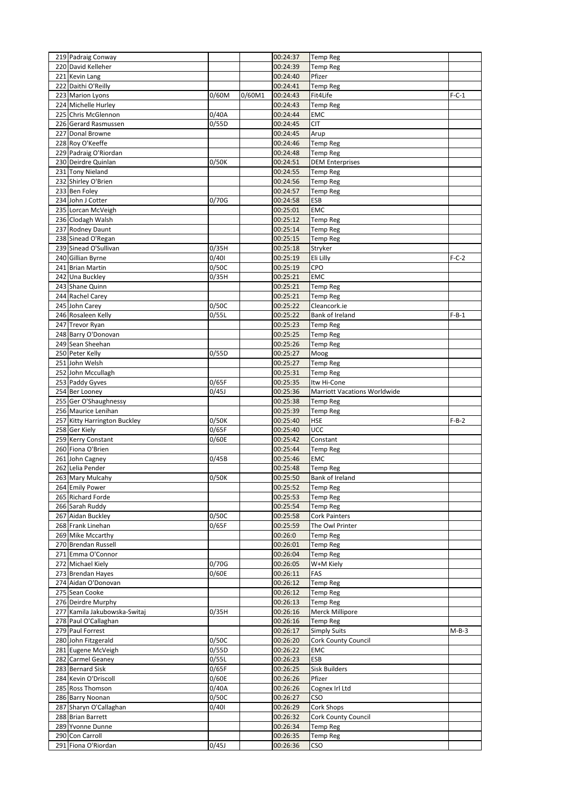| 219 Padraig Conway                     |       |        | 00:24:37             | <b>Temp Reg</b>              |         |
|----------------------------------------|-------|--------|----------------------|------------------------------|---------|
| 220 David Kelleher                     |       |        | 00:24:39             | Temp Reg                     |         |
| 221 Kevin Lang                         |       |        | 00:24:40             | Pfizer                       |         |
| 222 Daithi O'Reilly                    |       |        | 00:24:41             | <b>Temp Reg</b>              |         |
| 223 Marion Lyons                       | 0/60M | 0/60M1 | 00:24:43             | Fit4Life                     | $F-C-1$ |
| 224 Michelle Hurley                    |       |        | 00:24:43             | <b>Temp Reg</b>              |         |
| 225 Chris McGlennon                    | 0/40A |        | 00:24:44             | EMC                          |         |
| 226 Gerard Rasmussen                   | 0/55D |        | 00:24:45             | <b>CIT</b>                   |         |
| 227 Donal Browne                       |       |        | 00:24:45             | Arup                         |         |
| 228 Roy O'Keeffe                       |       |        | 00:24:46             | <b>Temp Reg</b>              |         |
| 229 Padraig O'Riordan                  |       |        | 00:24:48             | Temp Reg                     |         |
| 230 Deirdre Quinlan                    | 0/50K |        | 00:24:51             | <b>DEM Enterprises</b>       |         |
| 231 Tony Nieland                       |       |        | 00:24:55             | <b>Temp Reg</b>              |         |
| 232 Shirley O'Brien                    |       |        | 00:24:56             | Temp Reg                     |         |
| 233 Ben Foley                          |       |        | 00:24:57             | <b>Temp Reg</b>              |         |
| 234 John J Cotter                      | 0/70G |        | 00:24:58             | <b>ESB</b>                   |         |
| 235 Lorcan McVeigh                     |       |        | 00:25:01             | EMC                          |         |
| 236 Clodagh Walsh                      |       |        | 00:25:12             | Temp Reg                     |         |
| 237 Rodney Daunt                       |       |        | 00:25:14             | Temp Reg                     |         |
| 238 Sinead O'Regan                     |       |        | 00:25:15             | Temp Reg                     |         |
| 239 Sinead O'Sullivan                  | 0/35H |        | 00:25:18             | Stryker                      |         |
| 240 Gillian Byrne                      | 0/401 |        | 00:25:19             | Eli Lilly                    | $F-C-2$ |
| 241 Brian Martin                       | 0/50C |        | 00:25:19             | CPO                          |         |
| 242 Una Buckley                        | 0/35H |        | 00:25:21             | EMC                          |         |
| 243 Shane Quinn                        |       |        | 00:25:21             | Temp Reg                     |         |
| 244 Rachel Carey                       |       |        | 00:25:21             | <b>Temp Reg</b>              |         |
| 245 John Carey                         | 0/50C |        | 00:25:22             | Cleancork.ie                 |         |
| 246 Rosaleen Kelly                     | 0/55L |        | 00:25:22             | <b>Bank of Ireland</b>       | $F-B-1$ |
| 247 Trevor Ryan                        |       |        | 00:25:23             | <b>Temp Reg</b>              |         |
| 248 Barry O'Donovan                    |       |        | 00:25:25             | <b>Temp Reg</b>              |         |
| 249 Sean Sheehan                       |       |        | 00:25:26             | <b>Temp Reg</b>              |         |
| 250 Peter Kelly                        | 0/55D |        | 00:25:27             | Moog                         |         |
| 251 John Welsh                         |       |        | 00:25:27             | <b>Temp Reg</b>              |         |
| 252 John Mccullagh                     |       |        | 00:25:31             | <b>Temp Reg</b>              |         |
| 253 Paddy Gyves                        | 0/65F |        | 00:25:35             | Itw Hi-Cone                  |         |
| 254 Ber Looney                         | 0/45J |        | 00:25:36             | Marriott Vacations Worldwide |         |
| 255 Ger O'Shaughnessy                  |       |        | 00:25:38             | <b>Temp Reg</b>              |         |
| 256 Maurice Lenihan                    |       |        | 00:25:39             | <b>Temp Reg</b>              |         |
| 257 Kitty Harrington Buckley           | 0/50K |        | 00:25:40             | HSE                          | $F-B-2$ |
| 258 Ger Kiely                          | 0/65F |        | 00:25:40             | UCC                          |         |
| 259 Kerry Constant                     | 0/60E |        | 00:25:42             | Constant                     |         |
| 260 Fiona O'Brien                      |       |        | 00:25:44             | Temp Reg                     |         |
| 261 John Cagney                        | 0/45B |        | 00:25:46             | <b>EMC</b>                   |         |
| 262 Lelia Pender                       |       |        | 00:25:48             | Temp Reg                     |         |
| 263 Mary Mulcahy                       | 0/50K |        | 00:25:50             | Bank of Ireland              |         |
| 264 Emily Power                        |       |        | 00:25:52             | <b>Temp Reg</b>              |         |
| 265 Richard Forde                      |       |        |                      |                              |         |
|                                        |       |        | 00:25:53             | Temp Reg                     |         |
| 266 Sarah Ruddy                        |       |        | 00:25:54             | Temp Reg                     |         |
| 267 Aidan Buckley                      | 0/50C |        | 00:25:58             | <b>Cork Painters</b>         |         |
| 268 Frank Linehan                      | 0/65F |        | 00:25:59             | The Owl Printer              |         |
| 269 Mike Mccarthy                      |       |        | 00:26:0              | <b>Temp Reg</b>              |         |
| 270 Brendan Russell                    |       |        | 00:26:01             | Temp Reg                     |         |
| 271 Emma O'Connor                      |       |        | 00:26:04             | Temp Reg                     |         |
| 272 Michael Kiely                      | 0/70G |        | 00:26:05             | W+M Kiely                    |         |
| 273 Brendan Hayes                      | 0/60E |        | 00:26:11             | FAS                          |         |
| 274 Aidan O'Donovan                    |       |        | 00:26:12             | Temp Reg                     |         |
| 275 Sean Cooke                         |       |        | 00:26:12             | <b>Temp Reg</b>              |         |
| 276 Deirdre Murphy                     |       |        | 00:26:13             | Temp Reg                     |         |
| 277 Kamila Jakubowska-Switaj           | 0/35H |        | 00:26:16             | Merck Millipore              |         |
| 278 Paul O'Callaghan                   |       |        | 00:26:16             | <b>Temp Reg</b>              |         |
| 279 Paul Forrest                       |       |        | 00:26:17             | <b>Simply Suits</b>          | $M-B-3$ |
| 280 John Fitzgerald                    | 0/50C |        | 00:26:20             | Cork County Council          |         |
| 281 Eugene McVeigh                     | 0/55D |        | 00:26:22             | <b>EMC</b>                   |         |
| 282 Carmel Geaney                      | 0/55L |        | 00:26:23             | ESB                          |         |
| 283 Bernard Sisk                       | 0/65F |        | 00:26:25             | Sisk Builders                |         |
| 284 Kevin O'Driscoll                   | 0/60E |        | 00:26:26             | Pfizer                       |         |
| 285 Ross Thomson                       | 0/40A |        | 00:26:26             | Cognex Irl Ltd               |         |
| 286 Barry Noonan                       | 0/50C |        | 00:26:27             | CSO                          |         |
| 287 Sharyn O'Callaghan                 | 0/401 |        | 00:26:29             | Cork Shops                   |         |
| 288 Brian Barrett                      |       |        | 00:26:32             | <b>Cork County Council</b>   |         |
| 289 Yvonne Dunne                       |       |        | 00:26:34             | Temp Reg                     |         |
| 290 Con Carroll<br>291 Fiona O'Riordan | 0/45J |        | 00:26:35<br>00:26:36 | Temp Reg<br>CSO              |         |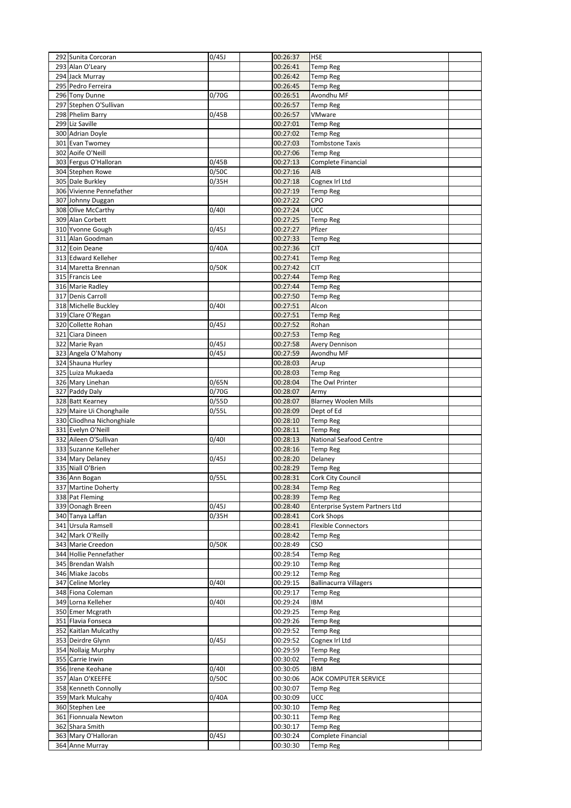| 292 Sunita Corcoran                   | 0/45J              | 00:26:37             | <b>HSE</b>                            |  |
|---------------------------------------|--------------------|----------------------|---------------------------------------|--|
| 293 Alan O'Leary                      |                    | 00:26:41             | <b>Temp Reg</b>                       |  |
| 294 Jack Murray                       |                    | 00:26:42             | <b>Temp Reg</b>                       |  |
| 295 Pedro Ferreira                    |                    | 00:26:45             | <b>Temp Reg</b>                       |  |
| 296 Tony Dunne                        | 0/70G              | 00:26:51             | Avondhu MF                            |  |
| 297 Stephen O'Sullivan                |                    | 00:26:57             | <b>Temp Reg</b>                       |  |
| 298 Phelim Barry                      | 0/45B              | 00:26:57             | VMware                                |  |
| 299 Liz Saville                       |                    | 00:27:01             | <b>Temp Reg</b>                       |  |
| 300 Adrian Doyle                      |                    | 00:27:02             | <b>Temp Reg</b>                       |  |
| 301 Evan Twomey                       |                    | 00:27:03             | <b>Tombstone Taxis</b>                |  |
| 302 Aoife O'Neill                     |                    | 00:27:06             | <b>Temp Reg</b>                       |  |
| 303 Fergus O'Halloran                 | 0/45B              | 00:27:13             | Complete Financial                    |  |
| 304 Stephen Rowe                      | 0/50C              | 00:27:16             | AIB                                   |  |
| 305 Dale Burkley                      | 0/35H              | 00:27:18             | Cognex Irl Ltd                        |  |
| 306 Vivienne Pennefather              |                    | 00:27:19             | <b>Temp Reg</b>                       |  |
| 307 Johnny Duggan                     |                    | 00:27:22             | CPO                                   |  |
| 308 Olive McCarthy                    | 0/401              | 00:27:24             | UCC                                   |  |
| 309 Alan Corbett                      |                    | 00:27:25             | <b>Temp Reg</b>                       |  |
| 310 Yvonne Gough                      | 0/45J              | 00:27:27             | Pfizer                                |  |
| 311 Alan Goodman                      |                    | 00:27:33             | <b>Temp Reg</b>                       |  |
| 312 Eoin Deane                        | 0/40A              | 00:27:36             | <b>CIT</b>                            |  |
| 313 Edward Kelleher                   |                    | 00:27:41             | <b>Temp Reg</b>                       |  |
| 314 Maretta Brennan                   | 0/50K              | 00:27:42             | <b>CIT</b>                            |  |
| 315 Francis Lee                       |                    | 00:27:44             | <b>Temp Reg</b>                       |  |
| 316 Marie Radley                      |                    | 00:27:44             | <b>Temp Reg</b>                       |  |
| 317 Denis Carroll                     |                    | 00:27:50             | <b>Temp Reg</b>                       |  |
| 318 Michelle Buckley                  | 0/401              | 00:27:51             | Alcon                                 |  |
| 319 Clare O'Regan                     |                    | 00:27:51             | <b>Temp Reg</b>                       |  |
| 320 Collette Rohan                    | 0/45J              | 00:27:52             | Rohan                                 |  |
| 321 Ciara Dineen                      |                    | 00:27:53             | <b>Temp Reg</b>                       |  |
| 322 Marie Ryan                        | 0/45J              | 00:27:58             | <b>Avery Dennison</b>                 |  |
| 323 Angela O'Mahony                   | 0/45J              | 00:27:59             | Avondhu MF                            |  |
| 324 Shauna Hurley                     |                    | 00:28:03             | Arup                                  |  |
| 325 Luiza Mukaeda                     |                    | 00:28:03             | <b>Temp Reg</b>                       |  |
| 326 Mary Linehan                      | 0/65N              | 00:28:04             | The Owl Printer                       |  |
| 327 Paddy Daly                        | 0/70G              | 00:28:07             | Army                                  |  |
| 328 Batt Kearney                      | 0/55D              | 00:28:07             | <b>Blarney Woolen Mills</b>           |  |
| 329 Maire Ui Chonghaile               | 0/55L              | 00:28:09             | Dept of Ed                            |  |
| 330 Cliodhna Nichonghiale             |                    | 00:28:10             | <b>Temp Reg</b><br>Temp Reg           |  |
| 331 Evelyn O'Neill                    |                    | 00:28:11             |                                       |  |
| 332 Aileen O'Sullivan                 | 0/401              | 00:28:13             | National Seafood Centre               |  |
| 333 Suzanne Kelleher                  |                    | 00:28:16             | <b>Temp Reg</b>                       |  |
| 334 Mary Delaney<br>335 Niall O'Brien | 0/45J              | 00:28:20<br>00:28:29 | Delaney                               |  |
| 336 Ann Bogan                         | 0/55L              | 00:28:31             | <b>Temp Reg</b><br>Cork City Council  |  |
| 337 Martine Doherty                   |                    | 00:28:34             | <b>Temp Reg</b>                       |  |
| 338 Pat Fleming                       |                    | 00:28:39             | <b>Temp Reg</b>                       |  |
| 339 Oonagh Breen                      | 0/45J              | 00:28:40             | <b>Enterprise System Partners Ltd</b> |  |
| 340 Tanya Laffan                      | $\overline{0}/35H$ | 00:28:41             | Cork Shops                            |  |
| 341 Ursula Ramsell                    |                    | 00:28:41             | <b>Flexible Connectors</b>            |  |
| 342 Mark O'Reilly                     |                    | 00:28:42             | <b>Temp Reg</b>                       |  |
| 343 Marie Creedon                     | 0/50K              | 00:28:49             | CSO                                   |  |
| 344 Hollie Pennefather                |                    | 00:28:54             | <b>Temp Reg</b>                       |  |
| 345 Brendan Walsh                     |                    | 00:29:10             | <b>Temp Reg</b>                       |  |
| 346 Miake Jacobs                      |                    | 00:29:12             | <b>Temp Reg</b>                       |  |
| 347 Celine Morley                     | 0/401              | 00:29:15             | <b>Ballinacurra Villagers</b>         |  |
| 348 Fiona Coleman                     |                    | 00:29:17             | <b>Temp Reg</b>                       |  |
| 349 Lorna Kelleher                    | 0/401              | 00:29:24             | <b>IBM</b>                            |  |
| 350 Emer Mcgrath                      |                    | 00:29:25             | <b>Temp Reg</b>                       |  |
| 351 Flavia Fonseca                    |                    | 00:29:26             | <b>Temp Reg</b>                       |  |
| 352 Kaitlan Mulcathy                  |                    | 00:29:52             | <b>Temp Reg</b>                       |  |
| 353 Deirdre Glynn                     | 0/45J              | 00:29:52             | Cognex Irl Ltd                        |  |
| 354 Nollaig Murphy                    |                    | 00:29:59             | <b>Temp Reg</b>                       |  |
|                                       |                    | 00:30:02             | <b>Temp Reg</b>                       |  |
| 355 Carrie Irwin                      |                    |                      |                                       |  |
| 356 Irene Keohane                     | 0/401              | 00:30:05             | IBM                                   |  |
| 357 Alan O'KEEFFE                     | 0/50C              | 00:30:06             | AOK COMPUTER SERVICE                  |  |
| 358 Kenneth Connolly                  |                    | 00:30:07             | <b>Temp Reg</b>                       |  |
| 359 Mark Mulcahy                      | 0/40A              | 00:30:09             | UCC                                   |  |
| 360 Stephen Lee                       |                    | 00:30:10             | <b>Temp Reg</b>                       |  |
| 361 Fionnuala Newton                  |                    | 00:30:11             | <b>Temp Reg</b>                       |  |
| 362 Shara Smith                       |                    | 00:30:17             | <b>Temp Reg</b>                       |  |
| 363 Mary O'Halloran                   | 0/45J              | 00:30:24             | Complete Financial                    |  |